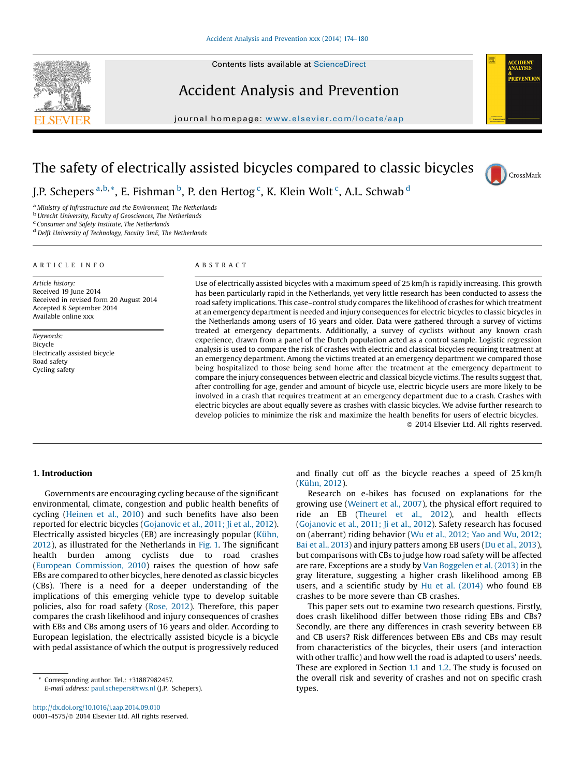

## Accident Analysis and Prevention

journal homepage: <www.elsevier.com/locate/aap>



# The safety of electrically assisted bicycles compared to classic bicycles



J.P. Schepers <sup>a,b,</sup>\*, E. Fishman <sup>b</sup>, P. den Hertog <sup>c</sup>, K. Klein Wolt <sup>c</sup>, A.L. Schwab <sup>d</sup>

a Ministry of Infrastructure and the Environment, The Netherlands b<br/>Utrecht University, Faculty of Geosciences, The Netherlands consumer and Safety Institute, The Netherlands consumer and Safety Institute, The Netherl

<sup>d</sup> Delft University of Technology, Faculty 3mE, The Netherlands

#### A R T I C L E I N F O

Article history: Received 19 June 2014 Received in revised form 20 August 2014 Accepted 8 September 2014 Available online xxx

Keywords: Bicycle Electrically assisted bicycle Road safety Cycling safety

## A B S T R A C T

Use of electrically assisted bicycles with a maximum speed of 25 km/h is rapidly increasing. This growth has been particularly rapid in the Netherlands, yet very little research has been conducted to assess the road safety implications. This case–control study compares the likelihood of crashes for which treatment at an emergency department is needed and injury consequences for electric bicycles to classic bicycles in the Netherlands among users of 16 years and older. Data were gathered through a survey of victims treated at emergency departments. Additionally, a survey of cyclists without any known crash experience, drawn from a panel of the Dutch population acted as a control sample. Logistic regression analysis is used to compare the risk of crashes with electric and classical bicycles requiring treatment at an emergency department. Among the victims treated at an emergency department we compared those being hospitalized to those being send home after the treatment at the emergency department to compare the injury consequences between electric and classical bicycle victims. The results suggest that, after controlling for age, gender and amount of bicycle use, electric bicycle users are more likely to be involved in a crash that requires treatment at an emergency department due to a crash. Crashes with electric bicycles are about equally severe as crashes with classic bicycles. We advise further research to develop policies to minimize the risk and maximize the health benefits for users of electric bicycles. ã 2014 Elsevier Ltd. All rights reserved.

## 1. Introduction

Governments are encouraging cycling because of the significant environmental, climate, congestion and public health benefits of cycling ([Heinen](#page-5-0) et al., 2010) and such benefits have also been reported for electric bicycles ([Gojanovic](#page-5-0) et al., 2011; Ji et al., 2012). Electrically assisted bicycles (EB) are increasingly popular [\(Kühn,](#page-5-0) [2012](#page-5-0)), as illustrated for the Netherlands in [Fig.](#page-1-0) 1. The significant health burden among cyclists due to road crashes (European [Commission,](#page-5-0) 2010) raises the question of how safe EBs are compared to other bicycles, here denoted as classic bicycles (CBs). There is a need for a deeper understanding of the implications of this emerging vehicle type to develop suitable policies, also for road safety ([Rose,](#page-6-0) 2012). Therefore, this paper compares the crash likelihood and injury consequences of crashes with EBs and CBs among users of 16 years and older. According to European legislation, the electrically assisted bicycle is a bicycle with pedal assistance of which the output is progressively reduced

and finally cut off as the bicycle reaches a speed of 25 km/h ([Kühn,](#page-5-0) 2012).

Research on e-bikes has focused on explanations for the growing use [\(Weinert](#page-6-0) et al., 2007), the physical effort required to ride an EB [\(Theurel](#page-6-0) et al., 2012), and health effects ([Gojanovic](#page-5-0) et al., 2011; Ji et al., 2012). Safety research has focused on (aberrant) riding behavior (Wu et al., [2012;](#page-6-0) Yao and Wu, 2012; Bai et al., [2013](#page-6-0)) and injury patters among EB users (Du et al., [2013\)](#page-5-0), but comparisons with CBs to judge how road safety will be affected are rare. Exceptions are a study by Van [Boggelen](#page-6-0) et al. (2013) in the gray literature, suggesting a higher crash likelihood among EB users, and a scientific study by Hu et al. [\(2014\)](#page-5-0) who found EB crashes to be more severe than CB crashes.

This paper sets out to examine two research questions. Firstly, does crash likelihood differ between those riding EBs and CBs? Secondly, are there any differences in crash severity between EB and CB users? Risk differences between EBs and CBs may result from characteristics of the bicycles, their users (and interaction with other traffic) and how well the road is adapted to users' needs. These are explored in Section [1.1](#page-1-0) and [1.2.](#page-1-0) The study is focused on the overall risk and severity of crashes and not on specific crash types.

Corresponding author. Tel.: +31887982457. E-mail address: [paul.schepers@rws.nl](mailto:paul.schepers@rws.nl) (J.P. Schepers).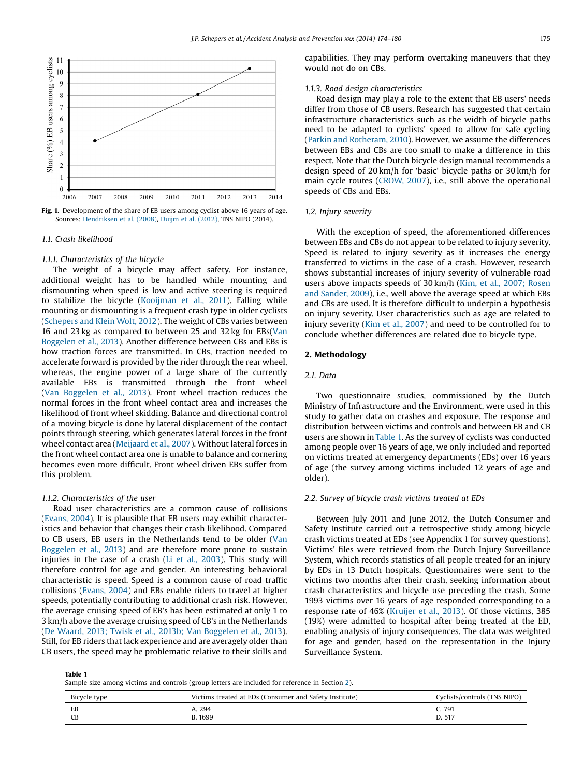<span id="page-1-0"></span>

Fig. 1. Development of the share of EB users among cyclist above 16 years of age. Sources: [Hendriksen](#page-5-0) et al. (2008), Duijm et al. [\(2012\)](#page-5-0), TNS NIPO (2014).

#### 1.1. Crash likelihood

#### 1.1.1. Characteristics of the bicycle

The weight of a bicycle may affect safety. For instance, additional weight has to be handled while mounting and dismounting when speed is low and active steering is required to stabilize the bicycle [\(Kooijman](#page-5-0) et al., 2011). Falling while mounting or dismounting is a frequent crash type in older cyclists ([Schepers](#page-6-0) and Klein Wolt, 2012). The weight of CBs varies between 16 and 23 kg as compared to between 25 and 32 kg for EBs([Van](#page-6-0) [Boggelen](#page-6-0) et al., 2013). Another difference between CBs and EBs is how traction forces are transmitted. In CBs, traction needed to accelerate forward is provided by the rider through the rear wheel, whereas, the engine power of a large share of the currently available EBs is transmitted through the front wheel (Van [Boggelen](#page-6-0) et al., 2013). Front wheel traction reduces the normal forces in the front wheel contact area and increases the likelihood of front wheel skidding. Balance and directional control of a moving bicycle is done by lateral displacement of the contact points through steering, which generates lateral forces in the front wheel contact area ([Meijaard](#page-5-0) et al., 2007). Without lateral forces in the front wheel contact area one is unable to balance and cornering becomes even more difficult. Front wheel driven EBs suffer from this problem.

#### 1.1.2. Characteristics of the user

Road user characteristics are a common cause of collisions ([Evans,](#page-5-0) 2004). It is plausible that EB users may exhibit characteristics and behavior that changes their crash likelihood. Compared to CB users, EB users in the Netherlands tend to be older ([Van](#page-6-0) [Boggelen](#page-6-0) et al., 2013) and are therefore more prone to sustain injuries in the case of a crash (Li et al., [2003](#page-5-0)). This study will therefore control for age and gender. An interesting behavioral characteristic is speed. Speed is a common cause of road traffic collisions [\(Evans,](#page-5-0) 2004) and EBs enable riders to travel at higher speeds, potentially contributing to additional crash risk. However, the average cruising speed of EB's has been estimated at only 1 to 3 km/h above the average cruising speed of CB's in the Netherlands (De Waard, 2013; Twisk et al., 2013b; Van [Boggelen](#page-5-0) et al., 2013). Still, for EB riders that lack experience and are averagely older than CB users, the speed may be problematic relative to their skills and capabilities. They may perform overtaking maneuvers that they would not do on CBs.

#### 1.1.3. Road design characteristics

Road design may play a role to the extent that EB users' needs differ from those of CB users. Research has suggested that certain infrastructure characteristics such as the width of bicycle paths need to be adapted to cyclists' speed to allow for safe cycling (Parkin and [Rotheram,](#page-5-0) 2010). However, we assume the differences between EBs and CBs are too small to make a difference in this respect. Note that the Dutch bicycle design manual recommends a design speed of 20 km/h for 'basic' bicycle paths or 30 km/h for main cycle routes [\(CROW,](#page-5-0) 2007), i.e., still above the operational speeds of CBs and EBs.

#### 1.2. Injury severity

With the exception of speed, the aforementioned differences between EBs and CBs do not appear to be related to injury severity. Speed is related to injury severity as it increases the energy transferred to victims in the case of a crash. However, research shows substantial increases of injury severity of vulnerable road users above impacts speeds of 30 km/h (Kim, et al., 2007; [Rosen](#page-5-0) and [Sander,](#page-5-0) 2009), i.e., well above the average speed at which EBs and CBs are used. It is therefore difficult to underpin a hypothesis on injury severity. User characteristics such as age are related to injury severity (Kim et al., [2007\)](#page-5-0) and need to be controlled for to conclude whether differences are related due to bicycle type.

#### 2. Methodology

## 2.1. Data

Two questionnaire studies, commissioned by the Dutch Ministry of Infrastructure and the Environment, were used in this study to gather data on crashes and exposure. The response and distribution between victims and controls and between EB and CB users are shown in Table 1. As the survey of cyclists was conducted among people over 16 years of age, we only included and reported on victims treated at emergency departments (EDs) over 16 years of age (the survey among victims included 12 years of age and older).

## 2.2. Survey of bicycle crash victims treated at EDs

Between July 2011 and June 2012, the Dutch Consumer and Safety Institute carried out a retrospective study among bicycle crash victims treated at EDs (see Appendix 1 for survey questions). Victims' files were retrieved from the Dutch Injury Surveillance System, which records statistics of all people treated for an injury by EDs in 13 Dutch hospitals. Questionnaires were sent to the victims two months after their crash, seeking information about crash characteristics and bicycle use preceding the crash. Some 1993 victims over 16 years of age responded corresponding to a response rate of 46% ([Kruijer](#page-5-0) et al., 2013). Of those victims, 385 (19%) were admitted to hospital after being treated at the ED, enabling analysis of injury consequences. The data was weighted for age and gender, based on the representation in the Injury Surveillance System.

Table 1

Sample size among victims and controls (group letters are included for reference in Section [2\)](#page-3-0).

| Bicycle type | Victims treated at EDs (Consumer and Safety Institute) | Cyclists/controls (TNS NIPO) |
|--------------|--------------------------------------------------------|------------------------------|
| EB           | 294                                                    | C. 791                       |
| СB           | .1699                                                  | D. 517                       |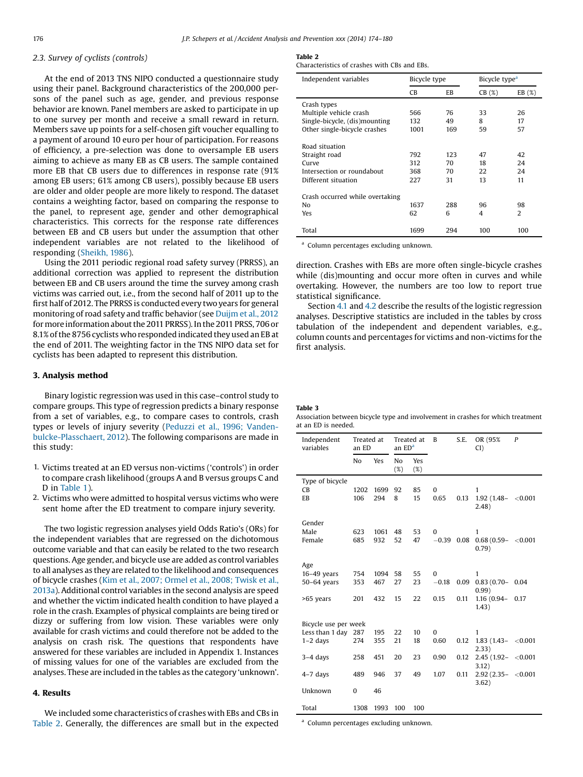## <span id="page-2-0"></span>2.3. Survey of cyclists (controls)

At the end of 2013 TNS NIPO conducted a questionnaire study using their panel. Background characteristics of the 200,000 persons of the panel such as age, gender, and previous response behavior are known. Panel members are asked to participate in up to one survey per month and receive a small reward in return. Members save up points for a self-chosen gift voucher equalling to a payment of around 10 euro per hour of participation. For reasons of efficiency, a pre-selection was done to oversample EB users aiming to achieve as many EB as CB users. The sample contained more EB that CB users due to differences in response rate (91% among EB users; 61% among CB users), possibly because EB users are older and older people are more likely to respond. The dataset contains a weighting factor, based on comparing the response to the panel, to represent age, gender and other demographical characteristics. This corrects for the response rate differences between EB and CB users but under the assumption that other independent variables are not related to the likelihood of responding [\(Sheikh,](#page-6-0) 1986).

Using the 2011 periodic regional road safety survey (PRRSS), an additional correction was applied to represent the distribution between EB and CB users around the time the survey among crash victims was carried out, i.e., from the second half of 2011 up to the first half of 2012. The PRRSS is conducted every two years for general monitoring of road safety and traffic behavior (see [Duijm](#page-5-0) et al., 2012 for more information about the 2011 PRRSS). In the 2011 PRSS, 706 or 8.1% of the 8756 cyclists who responded indicated they used an EB at the end of 2011. The weighting factor in the TNS NIPO data set for cyclists has been adapted to represent this distribution.

#### 3. Analysis method

Binary logistic regression was used in this case–control study to compare groups. This type of regression predicts a binary response from a set of variables, e.g., to compare cases to controls, crash types or levels of injury severity (Peduzzi et al., 1996; [Vanden](#page-5-0)[bulcke-Plasschaert,](#page-5-0) 2012). The following comparisons are made in this study:

- 1. Victims treated at an ED versus non-victims ('controls') in order to compare crash likelihood (groups A and B versus groups C and D in [Table](#page-1-0) 1).
- 2. Victims who were admitted to hospital versus victims who were sent home after the ED treatment to compare injury severity.

The two logistic regression analyses yield Odds Ratio's (ORs) for the independent variables that are regressed on the dichotomous outcome variable and that can easily be related to the two research questions. Age gender, and bicycle use are added as control variables to all analyses as they are related to the likelihood and consequences of bicycle crashes (Kim et al., 2007; [Ormel](#page-5-0) et al., 2008; Twisk et al., [2013a](#page-5-0)). Additional control variables in the second analysis are speed and whether the victim indicated health condition to have played a role in the crash. Examples of physical complaints are being tired or dizzy or suffering from low vision. These variables were only available for crash victims and could therefore not be added to the analysis on crash risk. The questions that respondents have answered for these variables are included in Appendix 1. Instances of missing values for one of the variables are excluded from the analyses. These are included in the tables as the category 'unknown'.

## 4. Results

We included some characteristics of crashes with EBs and CBs in Table 2. Generally, the differences are small but in the expected

#### Table 2

Characteristics of crashes with CBs and EBs.

| Independent variables                                                                         | Bicycle type             |                       | Bicycle type <sup>a</sup> |                      |
|-----------------------------------------------------------------------------------------------|--------------------------|-----------------------|---------------------------|----------------------|
|                                                                                               | <b>CB</b>                | EB                    | CB(%)                     | EB(%)                |
| Crash types                                                                                   |                          |                       |                           |                      |
| Multiple vehicle crash                                                                        | 566                      | 76                    | 33                        | 26                   |
| Single-bicycle, (dis)mounting                                                                 | 132                      | 49                    | 8                         | 17                   |
| Other single-bicycle crashes                                                                  | 1001                     | 169                   | 59                        | 57                   |
| Road situation<br>Straight road<br>Curve<br>Intersection or roundabout<br>Different situation | 792<br>312<br>368<br>227 | 123<br>70<br>70<br>31 | 47<br>18<br>22<br>13      | 42<br>24<br>24<br>11 |
| Crash occurred while overtaking<br>No<br>Yes                                                  | 1637<br>62               | 288<br>6              | 96<br>4                   | 98<br>2              |
| Total                                                                                         | 1699                     | 294                   | 100                       | 100                  |

<sup>a</sup> Column percentages excluding unknown.

direction. Crashes with EBs are more often single-bicycle crashes while (dis)mounting and occur more often in curves and while overtaking. However, the numbers are too low to report true statistical significance.

Section [4.1](#page-3-0) and [4.2](#page-3-0) describe the results of the logistic regression analyses. Descriptive statistics are included in the tables by cross tabulation of the independent and dependent variables, e.g., column counts and percentages for victims and non-victims for the first analysis.

Table 3

Association between bicycle type and involvement in crashes for which treatment at an ED is needed.

| Independent<br>variables | Treated at<br>an ED | Treated at<br>an ED <sup>a</sup> |                          |                      | B            | S.E. | OR (95%)<br>$CI$ )               | P    |
|--------------------------|---------------------|----------------------------------|--------------------------|----------------------|--------------|------|----------------------------------|------|
|                          | No                  | Yes                              | N <sub>0</sub><br>$(\%)$ | <b>Yes</b><br>$(\%)$ |              |      |                                  |      |
| Type of bicycle          |                     |                                  |                          |                      |              |      |                                  |      |
| <b>CB</b>                | 1202                | 1699                             | 92                       | 85                   | $\Omega$     |      | 1                                |      |
| EB                       | 106                 | 294                              | 8                        | 15                   | 0.65         | 0.13 | $1.92$ (1.48 - < 0.001)<br>2.48) |      |
| Gender                   |                     |                                  |                          |                      |              |      |                                  |      |
| Male                     | 623                 | 1061                             | 48                       | 53                   | $\Omega$     |      | 1                                |      |
| Female                   | 685                 | 932                              | 52                       | 47                   | $-0.39$ 0.08 |      | $0.68(0.59 - <0.001$<br>0.79)    |      |
|                          |                     |                                  |                          |                      |              |      |                                  |      |
| Age<br>$16-49$ years     | 754                 | 1094                             | 58                       | 55                   | $\Omega$     |      | 1                                |      |
| $50-64$ years            | 353                 | 467                              | 27                       | 23                   | $-0.18$      | 0.09 | $0.83(0.70 - 0.04)$              |      |
|                          |                     |                                  |                          |                      |              |      | 0.99)                            |      |
| >65 years                | 201                 | 432                              | 15                       | 22                   | 0.15         | 0.11 | $1.16(0.94 -$                    | 0.17 |
|                          |                     |                                  |                          |                      |              |      | 1.43)                            |      |
| Bicycle use per week     |                     |                                  |                          |                      |              |      |                                  |      |
| Less than 1 day          | 287                 | 195                              | 22                       | 10                   | $\Omega$     |      | 1                                |      |
| $1-2$ days               | 274                 | 355                              | 21                       | 18                   | 0.60         | 0.12 | $1.83(1.43 - <0.001)$            |      |
|                          |                     |                                  |                          |                      |              |      | 2.33)                            |      |
| $3-4$ days               | 258                 | 451                              | 20                       | 23                   | 0.90         | 0.12 | $2.45(1.92 - <0.001)$            |      |
|                          |                     |                                  |                          |                      |              |      | 3.12)                            |      |
| $4-7$ days               | 489                 | 946                              | 37                       | 49                   | 1.07         | 0.11 | $2.92(2.35 - <0.001$<br>3.62)    |      |
| Unknown                  | $\Omega$            | 46                               |                          |                      |              |      |                                  |      |
| Total                    | 1308                | 1993                             | 100                      | 100                  |              |      |                                  |      |

<sup>a</sup> Column percentages excluding unknown.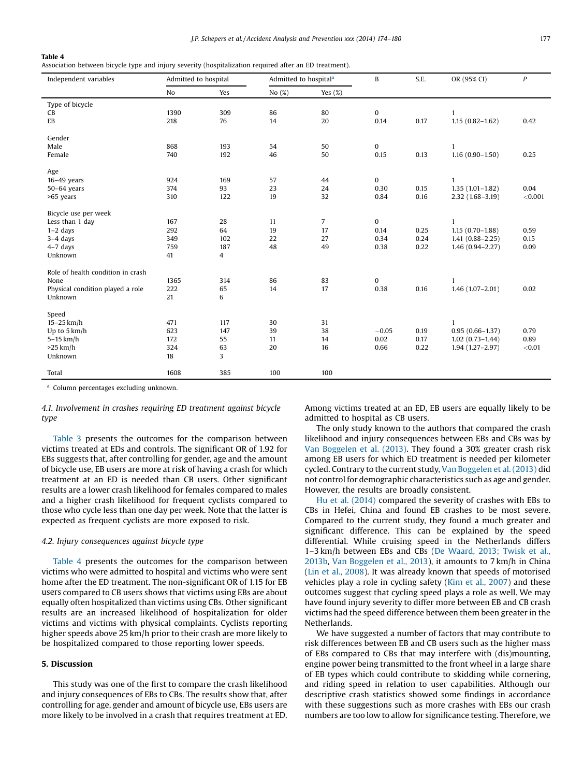#### <span id="page-3-0"></span>Table 4

Association between bicycle type and injury severity (hospitalization required after an ED treatment).

| Independent variables             |      | Admitted to hospital |           | Admitted to hospital <sup>a</sup> |              | S.E. | OR (95% CI)         | $\boldsymbol{P}$ |
|-----------------------------------|------|----------------------|-----------|-----------------------------------|--------------|------|---------------------|------------------|
|                                   | No   | Yes                  | No $(\%)$ | Yes $(\%)$                        |              |      |                     |                  |
| Type of bicycle                   |      |                      |           |                                   |              |      |                     |                  |
| <b>CB</b>                         | 1390 | 309                  | 86        | 80                                | $\mathbf{0}$ |      | $\mathbf{1}$        |                  |
| EB                                | 218  | 76                   | 14        | 20                                | 0.14         | 0.17 | $1.15(0.82 - 1.62)$ | 0.42             |
| Gender                            |      |                      |           |                                   |              |      |                     |                  |
| Male                              | 868  | 193                  | 54        | 50                                | $\bf{0}$     |      | $\mathbf{1}$        |                  |
| Female                            | 740  | 192                  | 46        | 50                                | 0.15         | 0.13 | $1.16(0.90-1.50)$   | 0.25             |
| Age                               |      |                      |           |                                   |              |      |                     |                  |
| $16-49$ years                     | 924  | 169                  | 57        | 44                                | 0            |      | $\mathbf{1}$        |                  |
| $50-64$ years                     | 374  | 93                   | 23        | 24                                | 0.30         | 0.15 | $1.35(1.01 - 1.82)$ | 0.04             |
| >65 years                         | 310  | 122                  | 19        | 32                                | 0.84         | 0.16 | $2.32(1.68 - 3.19)$ | < 0.001          |
| Bicycle use per week              |      |                      |           |                                   |              |      |                     |                  |
| Less than 1 day                   | 167  | 28                   | 11        | $\overline{7}$                    | 0            |      | $\mathbf{1}$        |                  |
| $1-2$ days                        | 292  | 64                   | 19        | 17                                | 0.14         | 0.25 | $1.15(0.70-1.88)$   | 0.59             |
| $3-4$ days                        | 349  | 102                  | 22        | 27                                | 0.34         | 0.24 | $1.41(0.88 - 2.25)$ | 0.15             |
| $4-7$ days                        | 759  | 187                  | 48        | 49                                | 0.38         | 0.22 | $1.46(0.94 - 2.27)$ | 0.09             |
| Unknown                           | 41   | 4                    |           |                                   |              |      |                     |                  |
| Role of health condition in crash |      |                      |           |                                   |              |      |                     |                  |
| None                              | 1365 | 314                  | 86        | 83                                | 0            |      | $\mathbf{1}$        |                  |
| Physical condition played a role  | 222  | 65                   | 14        | 17                                | 0.38         | 0.16 | $1.46(1.07 - 2.01)$ | 0.02             |
| Unknown                           | 21   | 6                    |           |                                   |              |      |                     |                  |
| Speed                             |      |                      |           |                                   |              |      |                     |                  |
| $15 - 25$ km/h                    | 471  | 117                  | 30        | 31                                |              |      | $\mathbf{1}$        |                  |
| Up to 5 km/h                      | 623  | 147                  | 39        | 38                                | $-0.05$      | 0.19 | $0.95(0.66 - 1.37)$ | 0.79             |
| $5-15$ km/h                       | 172  | 55                   | 11        | 14                                | 0.02         | 0.17 | $1.02(0.73 - 1.44)$ | 0.89             |
| $>25$ km/h                        | 324  | 63                   | 20        | 16                                | 0.66         | 0.22 | $1.94(1.27-2.97)$   | < 0.01           |
| Unknown                           | 18   | 3                    |           |                                   |              |      |                     |                  |
| Total                             | 1608 | 385                  | 100       | 100                               |              |      |                     |                  |

<sup>a</sup> Column percentages excluding unknown.

4.1. Involvement in crashes requiring ED treatment against bicycle type

[Table](#page-2-0) 3 presents the outcomes for the comparison between victims treated at EDs and controls. The significant OR of 1.92 for EBs suggests that, after controlling for gender, age and the amount of bicycle use, EB users are more at risk of having a crash for which treatment at an ED is needed than CB users. Other significant results are a lower crash likelihood for females compared to males and a higher crash likelihood for frequent cyclists compared to those who cycle less than one day per week. Note that the latter is expected as frequent cyclists are more exposed to risk.

## 4.2. Injury consequences against bicycle type

Table 4 presents the outcomes for the comparison between victims who were admitted to hospital and victims who were sent home after the ED treatment. The non-significant OR of 1.15 for EB users compared to CB users shows that victims using EBs are about equally often hospitalized than victims using CBs. Other significant results are an increased likelihood of hospitalization for older victims and victims with physical complaints. Cyclists reporting higher speeds above 25 km/h prior to their crash are more likely to be hospitalized compared to those reporting lower speeds.

## 5. Discussion

This study was one of the first to compare the crash likelihood and injury consequences of EBs to CBs. The results show that, after controlling for age, gender and amount of bicycle use, EBs users are more likely to be involved in a crash that requires treatment at ED.

Among victims treated at an ED, EB users are equally likely to be admitted to hospital as CB users.

The only study known to the authors that compared the crash likelihood and injury consequences between EBs and CBs was by Van [Boggelen](#page-6-0) et al. (2013). They found a 30% greater crash risk among EB users for which ED treatment is needed per kilometer cycled. Contrary to the current study, Van [Boggelen](#page-6-0) et al. (2013) did not control for demographic characteristics such as age and gender. However, the results are broadly consistent.

Hu et al. [\(2014\)](#page-5-0) compared the severity of crashes with EBs to CBs in Hefei, China and found EB crashes to be most severe. Compared to the current study, they found a much greater and significant difference. This can be explained by the speed differential. While cruising speed in the Netherlands differs 1–3 km/h between EBs and CBs (De [Waard,](#page-5-0) 2013; Twisk et al., [2013b,](#page-5-0) Van [Boggelen](#page-6-0) et al., 2013), it amounts to 7 km/h in China (Lin et al., [2008](#page-5-0)). It was already known that speeds of motorised vehicles play a role in cycling safety (Kim et al., [2007](#page-5-0)) and these outcomes suggest that cycling speed plays a role as well. We may have found injury severity to differ more between EB and CB crash victims had the speed difference between them been greater in the Netherlands.

We have suggested a number of factors that may contribute to risk differences between EB and CB users such as the higher mass of EBs compared to CBs that may interfere with (dis)mounting, engine power being transmitted to the front wheel in a large share of EB types which could contribute to skidding while cornering, and riding speed in relation to user capabilities. Although our descriptive crash statistics showed some findings in accordance with these suggestions such as more crashes with EBs our crash numbers are too low to allow for significance testing. Therefore, we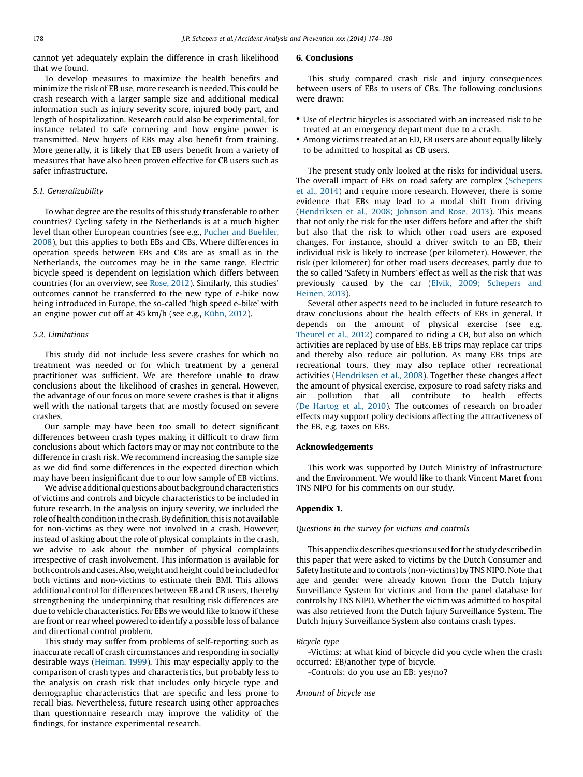cannot yet adequately explain the difference in crash likelihood that we found.

To develop measures to maximize the health benefits and minimize the risk of EB use, more research is needed. This could be crash research with a larger sample size and additional medical information such as injury severity score, injured body part, and length of hospitalization. Research could also be experimental, for instance related to safe cornering and how engine power is transmitted. New buyers of EBs may also benefit from training. More generally, it is likely that EB users benefit from a variety of measures that have also been proven effective for CB users such as safer infrastructure.

## 5.1. Generalizability

To what degree are the results of this study transferable to other countries? Cycling safety in the Netherlands is at a much higher level than other European countries (see e.g., Pucher and [Buehler,](#page-6-0) [2008](#page-6-0)), but this applies to both EBs and CBs. Where differences in operation speeds between EBs and CBs are as small as in the Netherlands, the outcomes may be in the same range. Electric bicycle speed is dependent on legislation which differs between countries (for an overview, see [Rose,](#page-6-0) 2012). Similarly, this studies' outcomes cannot be transferred to the new type of e-bike now being introduced in Europe, the so-called 'high speed e-bike' with an engine power cut off at 45 km/h (see e.g., [Kühn,](#page-5-0) 2012).

## 5.2. Limitations

This study did not include less severe crashes for which no treatment was needed or for which treatment by a general practitioner was sufficient. We are therefore unable to draw conclusions about the likelihood of crashes in general. However, the advantage of our focus on more severe crashes is that it aligns well with the national targets that are mostly focused on severe crashes.

Our sample may have been too small to detect significant differences between crash types making it difficult to draw firm conclusions about which factors may or may not contribute to the difference in crash risk. We recommend increasing the sample size as we did find some differences in the expected direction which may have been insignificant due to our low sample of EB victims.

We advise additional questions about background characteristics of victims and controls and bicycle characteristics to be included in future research. In the analysis on injury severity, we included the role of health condition in the crash. By definition, this is not available for non-victims as they were not involved in a crash. However, instead of asking about the role of physical complaints in the crash, we advise to ask about the number of physical complaints irrespective of crash involvement. This information is available for both controlsandcases.Also,weight and height could be included for both victims and non-victims to estimate their BMI. This allows additional control for differences between EB and CB users, thereby strengthening the underpinning that resulting risk differences are due to vehicle characteristics. For EBs we would like to know if these are front or rear wheel powered to identify a possible loss of balance and directional control problem.

This study may suffer from problems of self-reporting such as inaccurate recall of crash circumstances and responding in socially desirable ways ([Heiman,](#page-5-0) 1999). This may especially apply to the comparison of crash types and characteristics, but probably less to the analysis on crash risk that includes only bicycle type and demographic characteristics that are specific and less prone to recall bias. Nevertheless, future research using other approaches than questionnaire research may improve the validity of the findings, for instance experimental research.

#### 6. Conclusions

This study compared crash risk and injury consequences between users of EBs to users of CBs. The following conclusions were drawn:

- Use of electric bicycles is associated with an increased risk to be treated at an emergency department due to a crash.
- Among victims treated at an ED, EB users are about equally likely to be admitted to hospital as CB users.

The present study only looked at the risks for individual users. The overall impact of EBs on road safety are complex ([Schepers](#page-6-0) et al., [2014\)](#page-6-0) and require more research. However, there is some evidence that EBs may lead to a modal shift from driving ([Hendriksen](#page-5-0) et al., 2008; Johnson and Rose, 2013). This means that not only the risk for the user differs before and after the shift but also that the risk to which other road users are exposed changes. For instance, should a driver switch to an EB, their individual risk is likely to increase (per kilometer). However, the risk (per kilometer) for other road users decreases, partly due to the so called 'Safety in Numbers' effect as well as the risk that was previously caused by the car (Elvik, 2009; [Schepers](#page-5-0) and [Heinen,](#page-5-0) 2013).

Several other aspects need to be included in future research to draw conclusions about the health effects of EBs in general. It depends on the amount of physical exercise (see e.g. [Theurel](#page-6-0) et al., 2012) compared to riding a CB, but also on which activities are replaced by use of EBs. EB trips may replace car trips and thereby also reduce air pollution. As many EBs trips are recreational tours, they may also replace other recreational activities ([Hendriksen](#page-5-0) et al., 2008). Together these changes affect the amount of physical exercise, exposure to road safety risks and air pollution that all contribute to health effects (De [Hartog](#page-5-0) et al., 2010). The outcomes of research on broader effects may support policy decisions affecting the attractiveness of the EB, e.g. taxes on EBs.

#### Acknowledgements

This work was supported by Dutch Ministry of Infrastructure and the Environment. We would like to thank Vincent Maret from TNS NIPO for his comments on our study.

## Appendix 1.

Questions in the survey for victims and controls

This appendix describes questions used for the study described in this paper that were asked to victims by the Dutch Consumer and Safety Institute and to controls (non-victims) by TNS NIPO. Note that age and gender were already known from the Dutch Injury Surveillance System for victims and from the panel database for controls by TNS NIPO. Whether the victim was admitted to hospital was also retrieved from the Dutch Injury Surveillance System. The Dutch Injury Surveillance System also contains crash types.

#### Bicycle type

-Victims: at what kind of bicycle did you cycle when the crash occurred: EB/another type of bicycle.

-Controls: do you use an EB: yes/no?

Amount of bicycle use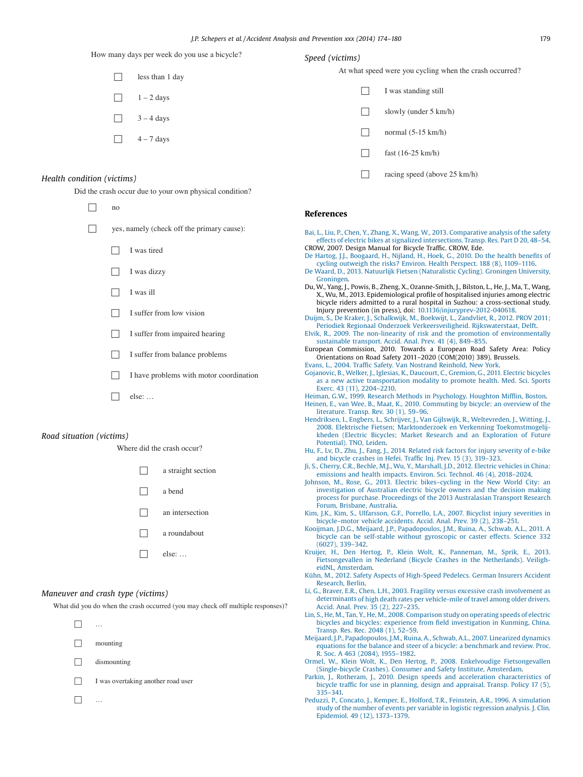<span id="page-5-0"></span>

| How many days per week do you use a bicycle?            | Speed (victims)                                                                                                                                                                                                                                                                 |
|---------------------------------------------------------|---------------------------------------------------------------------------------------------------------------------------------------------------------------------------------------------------------------------------------------------------------------------------------|
| $\Box$<br>less than 1 day                               | At what speed were you cycling when the crash occurred?                                                                                                                                                                                                                         |
| $1 - 2$ days                                            | $\Box$<br>I was standing still                                                                                                                                                                                                                                                  |
|                                                         | $\Box$<br>slowly (under 5 km/h)                                                                                                                                                                                                                                                 |
| $3 - 4$ days                                            | normal $(5-15 \text{ km/h})$                                                                                                                                                                                                                                                    |
| $4 - 7$ days                                            | fast $(16-25 \text{ km/h})$                                                                                                                                                                                                                                                     |
|                                                         | racing speed (above 25 km/h)                                                                                                                                                                                                                                                    |
| Health condition (victims)                              |                                                                                                                                                                                                                                                                                 |
| Did the crash occur due to your own physical condition? |                                                                                                                                                                                                                                                                                 |
| no                                                      | <b>References</b>                                                                                                                                                                                                                                                               |
| П<br>yes, namely (check off the primary cause):         | Bai, L., Liu, P., Chen, Y., Zhang, X., Wang, W., 2013. Comparative analysis of the safety<br>effects of electric bikes at signalized intersections. Transp. Res. Part D 20, 48-54.                                                                                              |
| I was tired                                             | CROW, 2007. Design Manual for Bicycle Traffic. CROW, Ede.<br>De Hartog, J.J., Boogaard, H., Nijland, H., Hoek, G., 2010. Do the health benefits of<br>cycling outweigh the risks? Environ. Health Perspect. 188 (8), 1109-1116.                                                 |
| I was dizzy                                             | De Waard, D., 2013. Natuurlijk Fietsen (Naturalistic Cycling). Groningen University,<br>Groningen.                                                                                                                                                                              |
| I was ill                                               | Du, W., Yang, J., Powis, B., Zheng, X., Ozanne-Smith, J., Bilston, L., He, J., Ma, T., Wang,<br>X., Wu, M., 2013. Epidemiological profile of hospitalised injuries among electric<br>bicycle riders admitted to a rural hospital in Suzhou: a cross-sectional study.            |
| I suffer from low vision                                | Injury prevention (in press), doi: 10.1136/injuryprev-2012-040618.<br>Duijm, S., De Kraker, J., Schalkwijk, M., Boekwijt, L., Zandvliet, R., 2012. PROV 2011;                                                                                                                   |
| I suffer from impaired hearing                          | Periodiek Regionaal Onderzoek Verkeersveiligheid. Rijkswaterstaat, Delft.<br>Elvik, R., 2009. The non-linearity of risk and the promotion of environmentally<br>sustainable transport. Accid. Anal. Prev. 41 (4), 849-855.                                                      |
| I suffer from balance problems                          | European Commission, 2010. Towards a European Road Safety Area: Policy<br>Orientations on Road Safety 2011-2020 (COM(2010) 389). Brussels.<br>Evans, L., 2004. Traffic Safety. Van Nostrand Reinhold, New York.                                                                 |
| I have problems with motor coordination                 | Gojanovic, B., Welker, J., Iglesias, K., Daucourt, C., Gremion, G., 2011. Electric bicycles<br>as a new active transportation modality to promote health. Med. Sci. Sports<br>Exerc. 43 (11), 2204-2210.                                                                        |
| else:                                                   | Heiman, G.W., 1999. Research Methods in Psychology. Houghton Mifflin, Boston.<br>Heinen, E., van Wee, B., Maat, K., 2010. Commuting by bicycle: an overview of the<br>literature. Transp. Rev. 30 (1), 59-96.                                                                   |
| Road situation (victims)                                | Hendriksen, I., Engbers, L., Schrijver, J., Van Gijlswijk, R., Weltevreden, J., Witting, J.,<br>2008. Elektrische Fietsen; Marktonderzoek en Verkenning Toekomstmogelij-<br>kheden (Electric Bicycles; Market Research and an Exploration of Future<br>Potential). TNO, Leiden. |
| Where did the crash occur?                              | Hu, F., Lv, D., Zhu, J., Fang, J., 2014. Related risk factors for injury severity of e-bike<br>and bicycle crashes in Hefei. Traffic Inj. Prev. 15 (3), 319-323.                                                                                                                |
| a straight section                                      | Ji, S., Cherry, C.R., Bechle, M.J., Wu, Y., Marshall, J.D., 2012. Electric vehicles in China:<br>emissions and health impacts. Environ. Sci. Technol. 46 (4), 2018-2024.<br>Johnson, M., Rose, G., 2013. Electric bikes-cycling in the New World City: an                       |
| a bend                                                  | investigation of Australian electric bicycle owners and the decision making<br>process for purchase. Proceedings of the 2013 Australasian Transport Research<br>Forum, Brisbane, Australia.                                                                                     |
| an intersection                                         | Kim, J.K., Kim, S., Ulfarsson, G.F., Porrello, L.A., 2007. Bicyclist injury severities in<br>bicycle-motor vehicle accidents. Accid. Anal. Prev. 39 (2), 238-251.                                                                                                               |
| a roundabout<br>$\Box$                                  | Kooijman, J.D.G., Meijaard, J.P., Papadopoulos, J.M., Ruina, A., Schwab, A.L., 2011. A<br>bicycle can be self-stable without gyroscopic or caster effects. Science 332<br>$(6027)$ , 339-342.                                                                                   |

#### $\Box$ else: …

## Maneuver and crash type (victims)

What did you do when the crash occurred (you may check off multiple responses)?

 $\Box$  mounting  $\Box$ …

 $\Box$ dismounting

 $\Box$ I was overtaking another road user

- …

eidNL, [Amsterdam](http://refhub.elsevier.com/S0001-4575(14)00266-8/sbref0095). Kühn, M., 2012. Safety Aspects of [High-Speed](http://refhub.elsevier.com/S0001-4575(14)00266-8/sbref0100) Pedelecs. German Insurers Accident [Research,](http://refhub.elsevier.com/S0001-4575(14)00266-8/sbref0100) Berlin.

Kruijer, H., Den Hertog, P., Klein Wolt, K., [Panneman,](http://refhub.elsevier.com/S0001-4575(14)00266-8/sbref0095) M., Sprik, E., 2013. [Fietsongevallen](http://refhub.elsevier.com/S0001-4575(14)00266-8/sbref0095) in Nederland (Bicycle Crashes in the Netherlands). Veiligh-

- Li, G., Braver, E.R., Chen, L.H., 2003. Fragility versus excessive crash [involvement](http://refhub.elsevier.com/S0001-4575(14)00266-8/sbref0105) as [determinants](http://refhub.elsevier.com/S0001-4575(14)00266-8/sbref0105) of high death rates per vehicle-mile of travel among older drivers. [Accid.](http://refhub.elsevier.com/S0001-4575(14)00266-8/sbref0105) Anal. Prev. 35 (2), 227–235. Lin, S., He, M., Tan, Y., He, M., 2008. [Comparison](http://refhub.elsevier.com/S0001-4575(14)00266-8/sbref0110) study on operating speeds of electric
- bicycles and bicycles: experience from field [investigation](http://refhub.elsevier.com/S0001-4575(14)00266-8/sbref0110) in Kunming, China. [Transp.](http://refhub.elsevier.com/S0001-4575(14)00266-8/sbref0110) Res. Rec. 2048 (1), 52–59.
- Meijaard, J.P., [Papadopoulos,](http://refhub.elsevier.com/S0001-4575(14)00266-8/sbref0115) J.M., Ruina, A., Schwab, A.L., 2007. Linearized dynamics equations for the balance and steer of a bicycle: a [benchmark](http://refhub.elsevier.com/S0001-4575(14)00266-8/sbref0115) and review. Proc. R. Soc. A 463 [\(2084\),](http://refhub.elsevier.com/S0001-4575(14)00266-8/sbref0115) 1955–1982.
- Ormel, W., Klein Wolt, K., Den Hertog, P., 2008. Enkelvoudige [Fietsongevallen](http://refhub.elsevier.com/S0001-4575(14)00266-8/sbref0120) [\(Single-bicycle](http://refhub.elsevier.com/S0001-4575(14)00266-8/sbref0120) Crashes). Consumer and Safety Institute, Amsterdam.
- Parkin, J., Rotheram, J., 2010. Design speeds and acceleration [characteristics](http://refhub.elsevier.com/S0001-4575(14)00266-8/sbref0125) of bicycle traffic for use in planning, design and [appraisal.](http://refhub.elsevier.com/S0001-4575(14)00266-8/sbref0125) Transp. Policy 17 (5), [335](http://refhub.elsevier.com/S0001-4575(14)00266-8/sbref0125)–341.
- Peduzzi, P., Concato, J., Kemper, E., Holford, T.R., Feinstein, A.R., 1996. A [simulation](http://refhub.elsevier.com/S0001-4575(14)00266-8/sbref0130) study of the number of events per variable in logistic [regression](http://refhub.elsevier.com/S0001-4575(14)00266-8/sbref0130) analysis. J. Clin. [Epidemiol.](http://refhub.elsevier.com/S0001-4575(14)00266-8/sbref0130) 49 (12), 1373–1379.